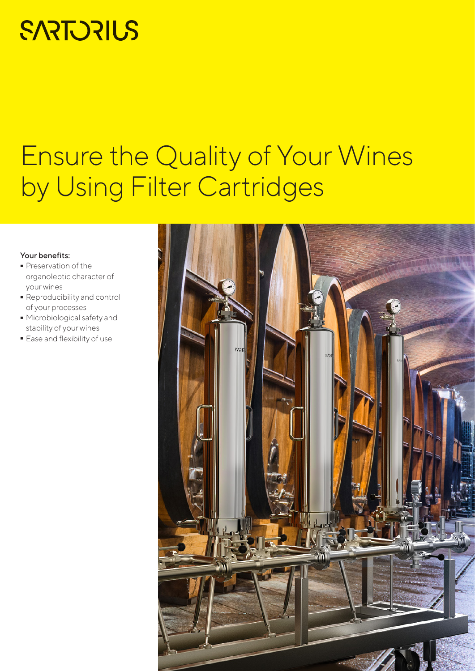# **SARTORIUS**

# Ensure the Quality of Your Wines by Using Filter Cartridges

#### Your benefits:

- Preservation of the organoleptic character of your wines
- Reproducibility and control of your processes
- Microbiological safety and stability of your wines
- Ease and flexibility of use

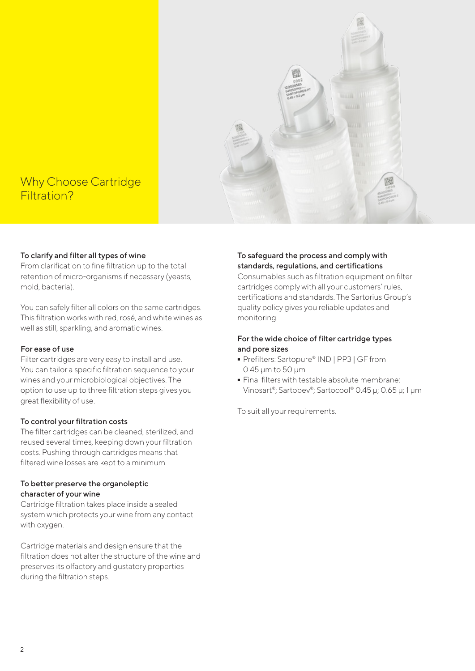

# Why Choose Cartridge Filtration?

### To clarify and filter all types of wine

From clarification to fine filtration up to the total retention of micro-organisms if necessary (yeasts, mold, bacteria).

You can safely filter all colors on the same cartridges. This filtration works with red, rosé, and white wines as well as still, sparkling, and aromatic wines.

#### For ease of use

Filter cartridges are very easy to install and use. You can tailor a specific filtration sequence to your wines and your microbiological objectives. The option to use up to three filtration steps gives you great flexibility of use.

#### To control your filtration costs

The filter cartridges can be cleaned, sterilized, and reused several times, keeping down your filtration costs. Pushing through cartridges means that filtered wine losses are kept to a minimum.

#### To better preserve the organoleptic character of your wine

Cartridge filtration takes place inside a sealed system which protects your wine from any contact with oxygen.

Cartridge materials and design ensure that the filtration does not alter the structure of the wine and preserves its olfactory and gustatory properties during the filtration steps.

#### To safeguard the process and comply with standards, regulations, and certifications

Consumables such as filtration equipment on filter cartridges comply with all your customers' rules, certifications and standards. The Sartorius Group's quality policy gives you reliable updates and monitoring.

## For the wide choice of filter cartridge types and pore sizes

- Prefilters: Sartopure® IND | PP3 | GF from<br>0.45 µm to 50 µm<br>■ Final filters with testable absolute membrane: 0.45 μm to 50 μm
- Final filters with testable absolute membrane: Vinosart®; Sartobev®; Sartocool® 0.45 μ; 0.65 μ; 1 μm

To suit all your requirements.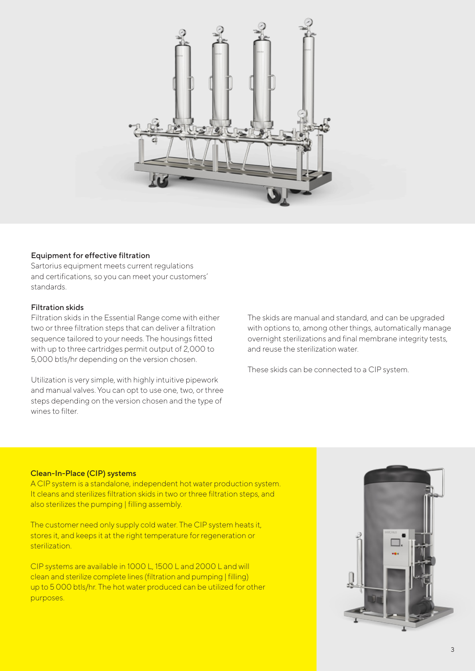

#### Equipment for effective filtration

Sartorius equipment meets current regulations and certifications, so you can meet your customers' standards.

#### Filtration skids

Filtration skids in the Essential Range come with either two or three filtration steps that can deliver a filtration sequence tailored to your needs. The housings fitted with up to three cartridges permit output of 2,000 to 5,000 btls/hr depending on the version chosen.

Utilization is very simple, with highly intuitive pipework and manual valves. You can opt to use one, two, or three steps depending on the version chosen and the type of wines to filter.

The skids are manual and standard, and can be upgraded with options to, among other things, automatically manage overnight sterilizations and final membrane integrity tests, and reuse the sterilization water.

These skids can be connected to a CIP system.

#### Clean-In-Place (CIP) systems

A CIP system is a standalone, independent hot water production system. It cleans and sterilizes filtration skids in two or three filtration steps, and also sterilizes the pumping | filling assembly.

The customer need only supply cold water. The CIP system heats it, stores it, and keeps it at the right temperature for regeneration or sterilization.

CIP systems are available in 1000 L, 1500 L and 2000 L and will clean and sterilize complete lines (filtration and pumping | filling) up to 5 000 btls/hr. The hot water produced can be utilized for other purposes.